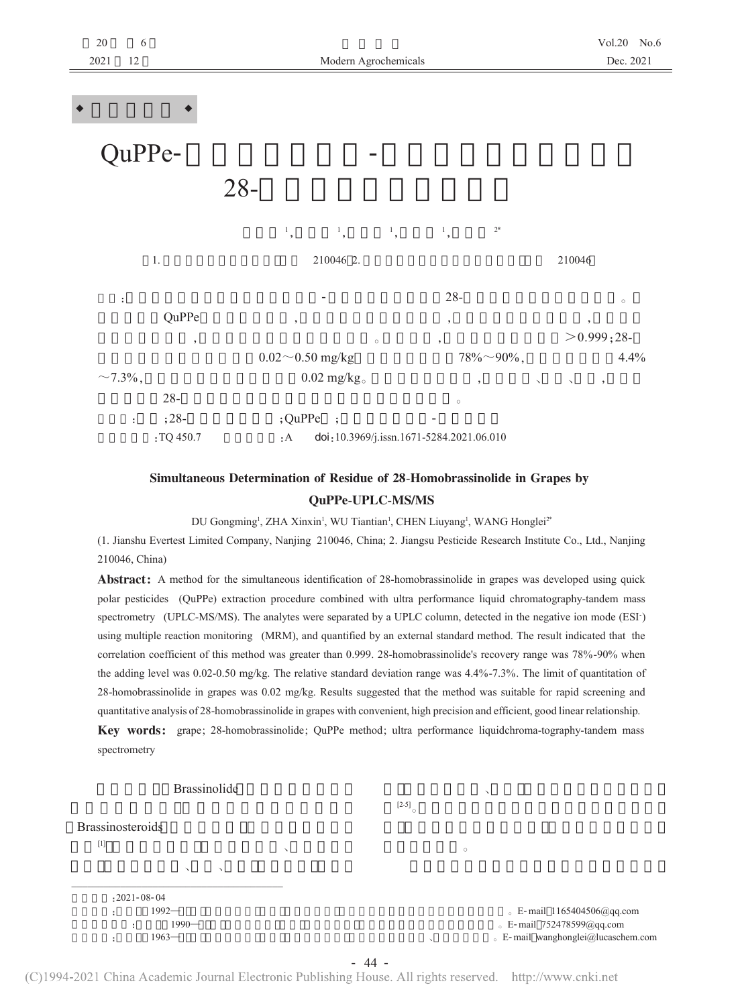

## Simultaneous Determination of Residue of 28-Homobrassinolide in Grapes by **QuPPe-UPLC-MS/MS**

DU Gongming<sup>1</sup>, ZHA Xinxin<sup>1</sup>, WU Tiantian<sup>1</sup>, CHEN Liuyang<sup>1</sup>, WANG Honglei<sup>2\*</sup>

(1. Jianshu Evertest Limited Company, Nanjing 210046, China; 2. Jiangsu Pesticide Research Institute Co., Ltd., Nanjing 210046, China)

**Abstract:** A method for the simultaneous identification of 28-homobrassinolide in grapes was developed using quick polar pesticides (QuPPe) extraction procedure combined with ultra performance liquid chromatography-tandem mass spectrometry (UPLC-MS/MS). The analytes were separated by a UPLC column, detected in the negative ion mode (ESI) using multiple reaction monitoring (MRM), and quantified by an external standard method. The result indicated that the correlation coefficient of this method was greater than 0.999. 28-homobrassinolide's recovery range was 78%-90% when the adding level was 0.02-0.50 mg/kg. The relative standard deviation range was 4.4%-7.3%. The limit of quantitation of 28-homobrassinolide in grapes was 0.02 mg/kg. Results suggested that the method was suitable for rapid screening and quantitative analysis of 28-homobrassinolide in grapes with convenient, high precision and efficient, good linear relationship. Key words: grape; 28-homobrassinolide; QuPPe method; ultra performance liquidchroma-tography-tandem mass spectrometry

**Brassinolide**  $[2-5]$ **Brassinosteroids**  $[1] % \centering \includegraphics[width=0.9\columnwidth]{figures/fig_10.pdf} \caption{The graph $\mathcal{N}_1$ is a function of the number of~\textit{N}_1$ (left) and the number of~\textit{N}_2$ (right) are shown in \cite{N}_1$ (right).} \label{fig:1}$  $: 2021 - 08 - 04$ 1992  $E$ -mail 1165404506@qq.com 1990-E-mail 752478599@qq.com **E-mail** wanghonglei@lucaschem.com  $1963-$ 

 $-44-$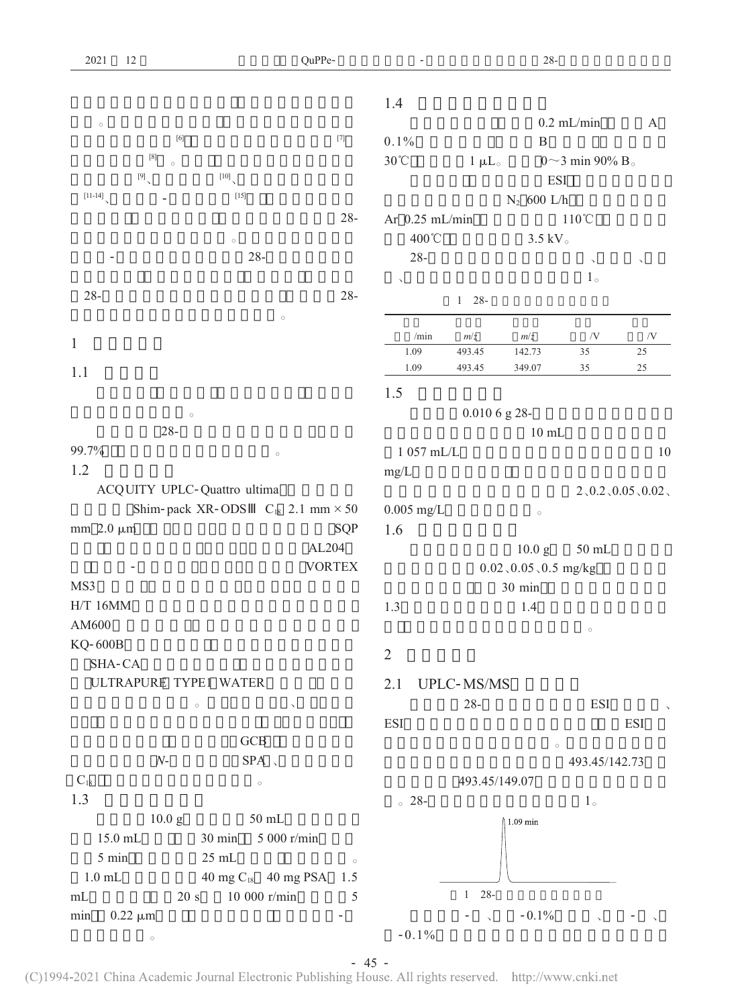| 2021                        | 12                    |                                              | QuPPe-                                                                                                                                                                                                                                                |                           |                | $28 -$                  |                          |                    |
|-----------------------------|-----------------------|----------------------------------------------|-------------------------------------------------------------------------------------------------------------------------------------------------------------------------------------------------------------------------------------------------------|---------------------------|----------------|-------------------------|--------------------------|--------------------|
|                             |                       |                                              |                                                                                                                                                                                                                                                       |                           |                |                         |                          |                    |
|                             |                       |                                              |                                                                                                                                                                                                                                                       | 1.4                       |                |                         |                          |                    |
| $\circ$                     |                       |                                              | $[7] \centering% \includegraphics[width=1\textwidth]{images/TransY.pdf} \caption{The 3D (top) and the 4D (bottom) of the 3D (bottom) of the 3D (bottom) of the 3D (bottom) of the 3D (bottom) of the 3D (bottom) of the 3D (bottom).} \label{fig:3D}$ |                           |                |                         | $0.2$ mL/min             | $\boldsymbol{A}$   |
|                             | $\left[ 8\right]$     |                                              |                                                                                                                                                                                                                                                       | 0.1%                      |                | $\mathbf B$             |                          |                    |
|                             | $\circ$               |                                              |                                                                                                                                                                                                                                                       | $30^{\circ}\!{\rm C}$     | $1 \mu L$      |                         | 0~3 min 90% B.           |                    |
|                             | [9]                   | $[10]$                                       |                                                                                                                                                                                                                                                       |                           |                | <b>ESI</b>              |                          |                    |
| $[11-14]$                   |                       | $[15]$                                       |                                                                                                                                                                                                                                                       |                           |                | $N_2$ 600 L/h           |                          |                    |
|                             |                       |                                              | $28 -$                                                                                                                                                                                                                                                | Ar 0.25 mL/min            |                |                         | $110^{\circ}$ C          |                    |
|                             |                       | $\circ$                                      |                                                                                                                                                                                                                                                       | 400°C                     |                | $3.5~{\rm kV}$ ${}$     |                          |                    |
|                             |                       | $28 -$                                       |                                                                                                                                                                                                                                                       | $28 -$                    |                |                         | $\overline{\phantom{a}}$ | $\checkmark$       |
|                             |                       |                                              |                                                                                                                                                                                                                                                       | $\boldsymbol{\checkmark}$ |                |                         | $1^{\circ}$              |                    |
| $28 -$                      |                       |                                              | $28 -$                                                                                                                                                                                                                                                |                           | $1 - 28 -$     |                         |                          |                    |
|                             |                       | $\circ$                                      |                                                                                                                                                                                                                                                       |                           |                |                         |                          |                    |
| $\mathbf{1}$                |                       |                                              |                                                                                                                                                                                                                                                       | /min                      | m/z            | m/z                     | $/ {\rm V}$              | /V                 |
|                             |                       |                                              |                                                                                                                                                                                                                                                       | 1.09                      | 493.45         | 142.73                  | 35                       | 25                 |
| 1.1                         |                       |                                              |                                                                                                                                                                                                                                                       | 1.09                      | 493.45         | 349.07                  | 35                       | $25\,$             |
|                             |                       |                                              |                                                                                                                                                                                                                                                       | 1.5                       |                |                         |                          |                    |
|                             | $\circ$               |                                              |                                                                                                                                                                                                                                                       |                           | $0.0106$ g 28- |                         |                          |                    |
|                             | $28 -$                |                                              |                                                                                                                                                                                                                                                       |                           |                | $10$ mL                 |                          |                    |
| 99.7%                       |                       | $\circ$                                      |                                                                                                                                                                                                                                                       | 1 057 mL/L                |                |                         |                          | 10                 |
| 1.2                         |                       |                                              |                                                                                                                                                                                                                                                       | mg/L                      |                |                         |                          |                    |
| ACQUITY UPLC-Quattro ultima |                       |                                              |                                                                                                                                                                                                                                                       |                           |                |                         |                          | 2, 0.2, 0.05, 0.02 |
|                             |                       | Shim-pack XR-ODS $C_{18}$ 2.1 mm $\times$ 50 |                                                                                                                                                                                                                                                       | $0.005$ mg/L              |                | $\circ$                 |                          |                    |
| mm $2.0 \mu m$              |                       |                                              | SQP                                                                                                                                                                                                                                                   | 1.6                       |                |                         |                          |                    |
|                             |                       |                                              | AL204                                                                                                                                                                                                                                                 |                           |                | 10.0 <sub>g</sub>       | $50\;\mathrm{mL}$        |                    |
|                             |                       |                                              | <b>VORTEX</b>                                                                                                                                                                                                                                         |                           |                | $0.02, 0.05, 0.5$ mg/kg |                          |                    |
| MS3                         |                       |                                              |                                                                                                                                                                                                                                                       |                           |                | 30 min                  |                          |                    |
| $H/T$ 16MM                  |                       |                                              |                                                                                                                                                                                                                                                       | 1.3                       |                | 1.4                     |                          |                    |
| AM600                       |                       |                                              |                                                                                                                                                                                                                                                       |                           |                |                         | $\circ$                  |                    |
| <b>KQ-600B</b>              |                       |                                              |                                                                                                                                                                                                                                                       | $\sqrt{2}$                |                |                         |                          |                    |
| SHA-CA                      |                       |                                              |                                                                                                                                                                                                                                                       |                           |                |                         |                          |                    |
|                             | ULTRAPURE TYPE1 WATER |                                              | 2.1                                                                                                                                                                                                                                                   | <b>UPLC-MS/MS</b>         |                |                         |                          |                    |
|                             | $\circ$               |                                              |                                                                                                                                                                                                                                                       |                           | $28 -$         |                         | <b>ESI</b>               |                    |
|                             |                       |                                              |                                                                                                                                                                                                                                                       | <b>ESI</b>                |                |                         |                          | <b>ESI</b>         |
|                             |                       | $\rm GCB$                                    |                                                                                                                                                                                                                                                       |                           |                | $\circ$                 |                          |                    |
|                             | $N-$                  | $SPA \sim$                                   |                                                                                                                                                                                                                                                       |                           |                |                         | 493.45/142.73            |                    |
| $C_{18}$                    |                       | $\circ$                                      |                                                                                                                                                                                                                                                       |                           | 493.45/149.07  |                         |                          |                    |
| 1.3                         |                       |                                              |                                                                                                                                                                                                                                                       | $_{\circ}$ 28-            |                |                         | 1 <sub>o</sub>           |                    |
|                             | 10.0 <sub>g</sub>     | 50 mL                                        |                                                                                                                                                                                                                                                       |                           |                | $1.09$ min              |                          |                    |
|                             | 15.0 mL               | 5 000 r/min<br>30 min                        |                                                                                                                                                                                                                                                       |                           |                |                         |                          |                    |
| 5 min                       |                       | $25\;\mathrm{mL}$                            | $\circ$                                                                                                                                                                                                                                               |                           |                |                         |                          |                    |
| $1.0\ \rm{mL}$              |                       | 40 mg $C_{18}$ 40 mg PSA                     | 1.5                                                                                                                                                                                                                                                   |                           |                |                         |                          |                    |
| mL                          | $20\mathrm{~s}$       | 10 000 r/min                                 | 5                                                                                                                                                                                                                                                     |                           | $1 - 28 -$     |                         |                          |                    |
| min                         | $0.22 \mu m$          |                                              |                                                                                                                                                                                                                                                       |                           | $\sim$         | $-0.1\%$                |                          |                    |
|                             | $\circ$               |                                              |                                                                                                                                                                                                                                                       | $-0.1\%$                  |                |                         |                          |                    |